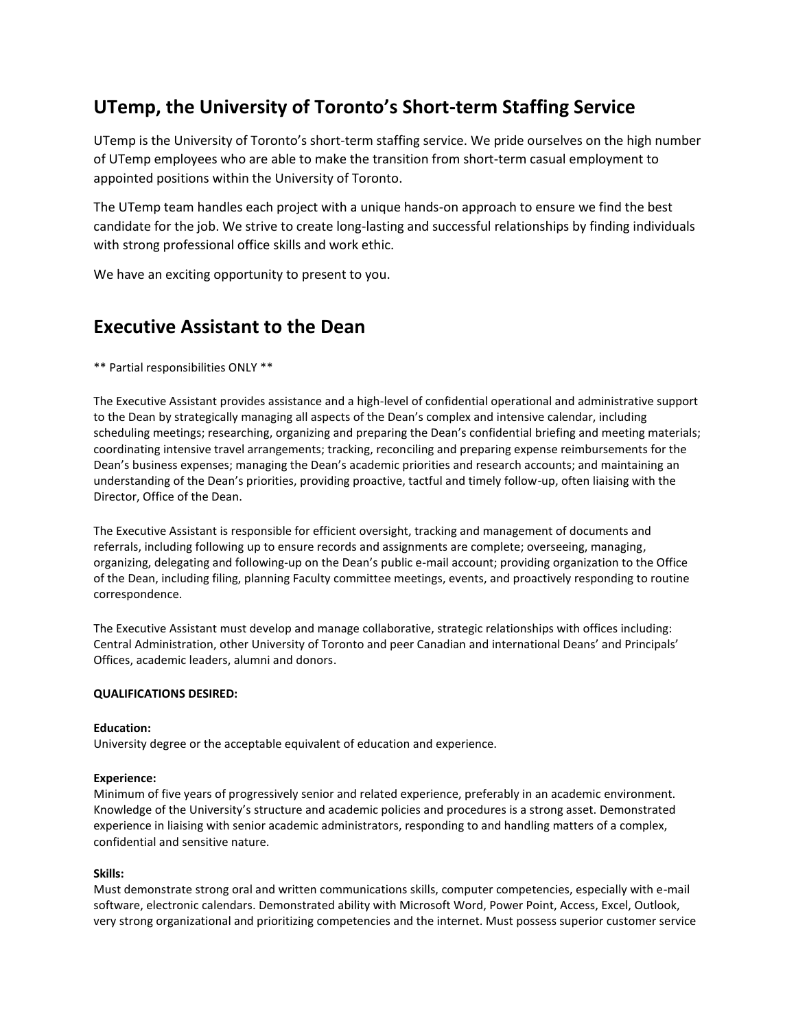# **UTemp, the University of Toronto's Short-term Staffing Service**

UTemp is the University of Toronto's short-term staffing service. We pride ourselves on the high number of UTemp employees who are able to make the transition from short-term casual employment to appointed positions within the University of Toronto.

The UTemp team handles each project with a unique hands-on approach to ensure we find the best candidate for the job. We strive to create long-lasting and successful relationships by finding individuals with strong professional office skills and work ethic.

We have an exciting opportunity to present to you.

## **Executive Assistant to the Dean**

\*\* Partial responsibilities ONLY \*\*

The Executive Assistant provides assistance and a high-level of confidential operational and administrative support to the Dean by strategically managing all aspects of the Dean's complex and intensive calendar, including scheduling meetings; researching, organizing and preparing the Dean's confidential briefing and meeting materials; coordinating intensive travel arrangements; tracking, reconciling and preparing expense reimbursements for the Dean's business expenses; managing the Dean's academic priorities and research accounts; and maintaining an understanding of the Dean's priorities, providing proactive, tactful and timely follow-up, often liaising with the Director, Office of the Dean.

The Executive Assistant is responsible for efficient oversight, tracking and management of documents and referrals, including following up to ensure records and assignments are complete; overseeing, managing, organizing, delegating and following-up on the Dean's public e-mail account; providing organization to the Office of the Dean, including filing, planning Faculty committee meetings, events, and proactively responding to routine correspondence.

The Executive Assistant must develop and manage collaborative, strategic relationships with offices including: Central Administration, other University of Toronto and peer Canadian and international Deans' and Principals' Offices, academic leaders, alumni and donors.

### **QUALIFICATIONS DESIRED:**

### **Education:**

University degree or the acceptable equivalent of education and experience.

#### **Experience:**

Minimum of five years of progressively senior and related experience, preferably in an academic environment. Knowledge of the University's structure and academic policies and procedures is a strong asset. Demonstrated experience in liaising with senior academic administrators, responding to and handling matters of a complex, confidential and sensitive nature.

### **Skills:**

Must demonstrate strong oral and written communications skills, computer competencies, especially with e-mail software, electronic calendars. Demonstrated ability with Microsoft Word, Power Point, Access, Excel, Outlook, very strong organizational and prioritizing competencies and the internet. Must possess superior customer service